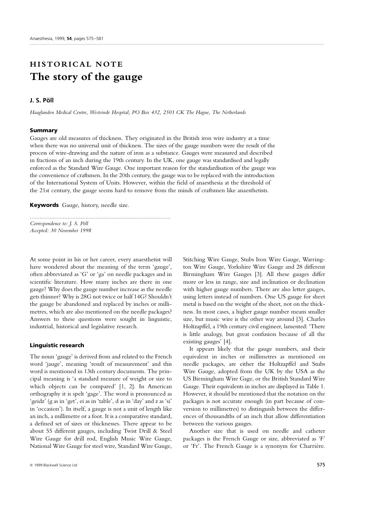# **HISTORICAL NOTE The story of the gauge**

# **J. S. Po¨ ll**

*Haaglanden Medical Centre, Westeinde Hospital, PO Box 432, 2501 CK The Hague, The Netherlands*

*......................................................................................*

#### **Summary**

Gauges are old measures of thickness. They originated in the British iron wire industry at a time when there was no universal unit of thickness. The sizes of the gauge numbers were the result of the process of wire-drawing and the nature of iron as a substance. Gauges were measured and described in fractions of an inch during the 19th century. In the UK, one gauge was standardised and legally enforced as the Standard Wire Gauge. One important reason for the standardisation of the gauge was the convenience of craftsmen. In the 20th century, the gauge was to be replaced with the introduction of the International System of Units. However, within the field of anaesthesia at the threshold of the 21st century, the gauge seems hard to remove from the minds of craftsmen like anaesthetists.

**Keywords** Gauge, history, needle size.

*Correspondence to: J. S. Po¨ll Accepted: 30 November 1998*

At some point in his or her career, every anaesthetist will have wondered about the meaning of the term 'gauge', often abbreviated as 'G' or 'ga' on needle packages and in scientific literature. How many inches are there in one gauge? Why does the gauge number increase as the needle gets thinner? Why is 28G not twice or half 14G? Shouldn't the gauge be abandoned and replaced by inches or millimetres, which are also mentioned on the needle packages? Answers to these questions were sought in linguistic, industrial, historical and legislative research.

## **Linguistic research**

The noun 'gauge' is derived from and related to the French word 'jauge', meaning 'result of measurement' and this word is mentioned in 13th century documents. The principal meaning is 'a standard measure of weight or size to which objects can be compared' [1, 2]. In American orthography it is spelt 'gage'. The word is pronounced as 'geidz' (g as in 'get', ei as in 'table', d as in 'day' and z as 'si' in 'occasion'). In itself, a gauge is not a unit of length like an inch, a millimetre or a foot. It is a comparative standard, a defined set of sizes or thicknesses. There appear to be about 55 different gauges, including Twist Drill & Steel Wire Gauge for drill rod, English Music Wire Gauge, National Wire Gauge for steel wire, Standard Wire Gauge, Stitching Wire Gauge, Stubs Iron Wire Gauge, Warrington Wire Gauge, Yorkshire Wire Gauge and 28 different Birmingham Wire Gauges [3]. All these gauges differ more or less in range, size and inclination or declination with higher gauge numbers. There are also letter gauges, using letters instead of numbers. One US gauge for sheet metal is based on the weight of the sheet, not on the thickness. In most cases, a higher gauge number means smaller size, but music wire is the other way around [3]. Charles Holtzapffel, a 19th century civil engineer, lamented: 'There is little analogy, but great confusion because of all the existing gauges' [4].

It appears likely that the gauge numbers, and their equivalent in inches or millimetres as mentioned on needle packages, are either the Holtzapffel and Stubs Wire Gauge, adopted from the UK by the USA as the US Birmingham Wire Gage, or the British Standard Wire Gauge. Their equivalents in inches are displayed in Table 1. However, it should be mentioned that the notation on the packages is not accurate enough (in part because of conversion to millimetres) to distinguish between the differences of thousandths of an inch that allow differentiation between the various gauges.

Another size that is used on needle and catheter packages is the French Gauge or size, abbreviated as 'F' or 'Fr'. The French Gauge is a synonym for Charrière.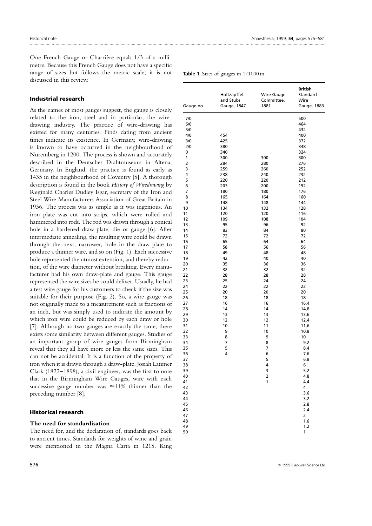One French Gauge or Charrière equals 1/3 of a millimetre. Because this French Gauge does not have a specific range of sizes but follows the metric scale, it is not discussed in this review.

## **Industrial research**

As the names of most gauges suggest, the gauge is closely related to the iron, steel and in particular, the wiredrawing industry. The practice of wire-drawing has existed for many centuries. Finds dating from ancient times indicate its existence. In Germany, wire-drawing is known to have occurred in the neighbourhood of Nuremberg in 1200. The process is shown and accurately described in the Deutsches Drahtmuseum in Altena, Germany. In England, the practice is found as early as 1435 in the neighbourhood of Coventry [5]. A thorough description is found in the book *History of Wiredrawing* by Reginald Charles Dudley Isgar, secretary of the Iron and Steel Wire Manufacturers Association of Great Britain in 1936. The process was as simple as it was ingenious. An iron plate was cut into strips, which were rolled and hammered into rods. The rod was drawn through a conical hole in a hardened draw-plate, die or gauge [6]. After intermediate annealing, the resulting wire could be drawn through the next, narrower, hole in the draw-plate to produce a thinner wire, and so on (Fig. 1). Each successive hole represented the utmost extension, and thereby reduction, of the wire diameter without breaking. Every manufacturer had his own draw-plate and gauge. This gauge represented the wire sizes he could deliver. Usually, he had a test wire gauge for his customers to check if the size was suitable for their purpose (Fig. 2). So, a wire gauge was not originally made to a measurement such as fractions of an inch, but was simply used to indicate the amount by which iron wire could be reduced by each draw or hole [7]. Although no two gauges are exactly the same, there exists some similarity between different gauges. Studies of an important group of wire gauges from Birmingham reveal that they all have more or less the same sizes. This can not be accidental. It is a function of the property of iron when it is drawn through a draw-plate. Josiah Latimer Clark (1822–1898), a civil engineer, was the first to note that in the Birmingham Wire Gauges, wire with each successive gauge number was  $\approx$ 11% thinner than the preceding number [8].

### **Historical research**

### **The need for standardisation**

The need for, and the declaration of, standards goes back to ancient times. Standards for weights of wine and grain were mentioned in the Magna Carta in 1215. King

| Gauge no. | Holtzapffel<br>and Stubs<br>Gauge, 1847 | <b>Wire Gauge</b><br>Committee,<br>1881 | British<br>Standard<br>Wire<br>Gauge, 1883 |
|-----------|-----------------------------------------|-----------------------------------------|--------------------------------------------|
| 7/0       |                                         |                                         |                                            |
| 6/0       |                                         |                                         | 500<br>464                                 |
| 5/0       |                                         |                                         | 432                                        |
| 4/0       | 454                                     |                                         | 400                                        |
| 3/0       | 425                                     |                                         | 372                                        |
| 2/0       | 380                                     |                                         | 348                                        |
| 0         | 340                                     |                                         | 324                                        |
| 1         | 300                                     | 300                                     | 300                                        |
| 2         | 284                                     | 280                                     | 276                                        |
| 3         | 259                                     | 260                                     | 252                                        |
| 4         | 238                                     | 240                                     | 232                                        |
| 5         | 220                                     | 220                                     | 212                                        |
| 6         | 203                                     | 200                                     | 192                                        |
| 7         | 180                                     | 180                                     | 176                                        |
| 8         | 165                                     | 164                                     | 160                                        |
| 9         | 148                                     | 148                                     | 144                                        |
| 10        | 134                                     | 132                                     | 128                                        |
| 11        | 120                                     | 120                                     | 116                                        |
| 12        | 109                                     | 108                                     | 104                                        |
| 13        | 95                                      | 96                                      | 92                                         |
| 14        | 83                                      | 84                                      | 80                                         |
| 15        | 72                                      | 72                                      | 72                                         |
| 16        | 65                                      | 64                                      | 64                                         |
| 17        | 58                                      | 56                                      | 56                                         |
| 18        | 49                                      | 48                                      | 48                                         |
| 19        | 42                                      | 40                                      | 40                                         |
| 20        | 35                                      | 36                                      | 36                                         |
| 21        | 32                                      | 32                                      | 32                                         |
| 22        | 28                                      | 28                                      | 28                                         |
| 23        | 25                                      | 24                                      | 24                                         |
| 24        | 22                                      | 22                                      | 22                                         |
| 25        | 20                                      | 20                                      | 20                                         |
| 26        | 18                                      | 18                                      | 18                                         |
| 27        | 16                                      | 16                                      | 16,4                                       |
| 28        | 14                                      | 14                                      | 14,8                                       |
| 29        | 13<br>12                                | 13<br>12                                | 13,6                                       |
| 30<br>31  | 10                                      | 11                                      | 12,4<br>11,6                               |
| 32        | 9                                       | 10                                      | 10,8                                       |
| 33        | 8                                       | 9                                       | 10                                         |
| 34        | 7                                       | 8                                       | 9,2                                        |
| 35        | 5                                       | 7                                       | 8,4                                        |
| 36        | 4                                       | 6                                       | 7,6                                        |
| 37        |                                         | 5                                       | 6,8                                        |
| 38        |                                         | 4                                       | 6                                          |
| 39        |                                         | 3                                       | 5,2                                        |
| 40        |                                         | 2                                       | 4,8                                        |
| 41        |                                         | 1                                       | 4,4                                        |
| 42        |                                         |                                         | 4                                          |
| 43        |                                         |                                         | 3,6                                        |
| 44        |                                         |                                         | 3,2                                        |
| 45        |                                         |                                         | 2,8                                        |
| 46        |                                         |                                         | 2,4                                        |
| 47        |                                         |                                         | 2                                          |
| 48        |                                         |                                         | 1,6                                        |
| 49        |                                         |                                         | 1,2                                        |
| 50        |                                         |                                         | 1                                          |

**Table 1** Sizes of gauges in 1/1000 in.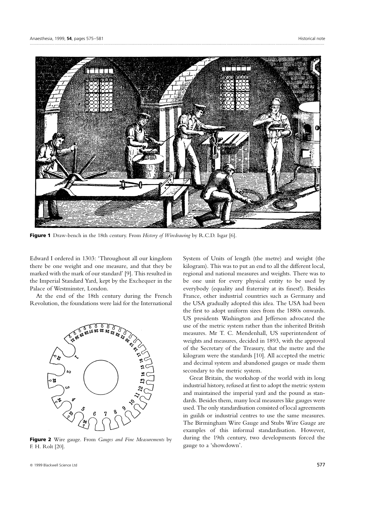

**Figure 1** Draw-bench in the 18th century. From *History of Wiredrawing* by R.C.D. Isgar [6].

Edward I ordered in 1303: 'Throughout all our kingdom there be one weight and one measure, and that they be marked with the mark of our standard' [9]. This resulted in the Imperial Standard Yard, kept by the Exchequer in the Palace of Westminster, London.

At the end of the 18th century during the French Revolution, the foundations were laid for the International



**Figure 2** Wire gauge. From *Gauges and Fine Measurements* by F. H. Rolt [20].

System of Units of length (the metre) and weight (the kilogram). This was to put an end to all the different local, regional and national measures and weights. There was to be one unit for every physical entity to be used by everybody (equality and fraternity at its finest!). Besides France, other industrial countries such as Germany and the USA gradually adopted this idea. The USA had been the first to adopt uniform sizes from the 1880s onwards. US presidents Washington and Jefferson advocated the use of the metric system rather than the inherited British measures. Mr T. C. Mendenhall, US superintendent of weights and measures, decided in 1893, with the approval of the Secretary of the Treasury, that the metre and the kilogram were the standards [10]. All accepted the metric and decimal system and abandoned gauges or made them secondary to the metric system.

Great Britain, the workshop of the world with its long industrial history, refused at first to adopt the metric system and maintained the imperial yard and the pound as standards. Besides them, many local measures like gauges were used. The only standardisation consisted of local agreements in guilds or industrial centres to use the same measures. The Birmingham Wire Gauge and Stubs Wire Gauge are examples of this informal standardisation. However, during the 19th century, two developments forced the gauge to a 'showdown'.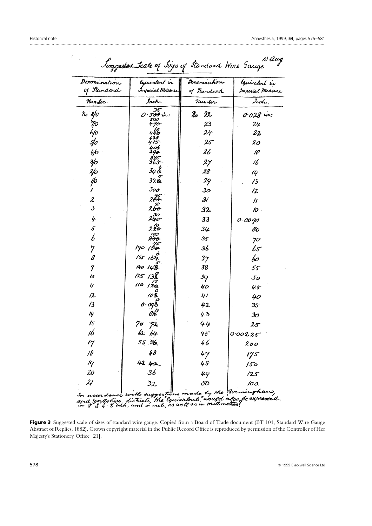$\hat{f}$ 

 $\overline{a}$ 

| Denomination                                                     | Equivalent in                                           | Denomination       | Equivalent in     |
|------------------------------------------------------------------|---------------------------------------------------------|--------------------|-------------------|
| of Standard                                                      | Inperial Measure                                        | of Itandard        | Imperial Measure  |
| Humber.                                                          | Inch.                                                   | Number             | Inch.             |
| no 8/0                                                           | $0.500$ in:                                             | $\mathcal{U}$ . 22 | $0.028$ in:       |
| $\eta\!\!\!/\,$                                                  | 50O<br>$470-$                                           | 23                 | 24                |
| 6/0                                                              | 446                                                     | $24 -$             | $22 \,$           |
| 5/                                                               |                                                         | 25                 | 20                |
| 4/0                                                              | 406                                                     | 26                 | 18                |
| ₩                                                                | 375<br>3 <del>75</del>                                  | 27                 | 16                |
| $\frac{2}{0}$                                                    | 348                                                     | 28                 | 14                |
| ' o                                                              | 328                                                     | 29                 | $\sqrt{3}$        |
|                                                                  | 300                                                     | 30                 | $\mathcal{Z}$     |
| $\boldsymbol{\mathcal{Z}}$                                       | 28ê-                                                    | $\mathcal{Y}$      | $\prime$          |
| $\overline{\mathbf{3}}$                                          | 28o                                                     | 32                 | $\boldsymbol{10}$ |
| 4                                                                | 2 <del>3</del> 0<br>2 <del>40</del>                     | 33                 | 0.0090            |
| 5                                                                | 220                                                     | 34                 | вo                |
| b                                                                | $\overset{\prime \rho \sigma}{\mathit{z}\sigma\sigma}$  | 35                 | 70                |
| 7                                                                | $170 \sqrt{60}$                                         | 36                 | 65                |
| 8                                                                | 155164                                                  | $3\gamma$          | 60                |
| 9                                                                | 140 148                                                 | 38                 | 55                |
| 10                                                               | 125/38                                                  | 39                 | 50                |
| $\eta$                                                           | $110^{35}$                                              | 40                 |                   |
| 12                                                               | 108                                                     | 41                 | 45<br>40          |
| /3                                                               | $\boldsymbol{o} \cdot \boldsymbol{o}$ gš                | 42                 | $35 -$            |
| 14.                                                              | 84,                                                     | 43                 | 30                |
| 15                                                               | 70 yr                                                   | 44                 | $25 -$            |
| 16                                                               | 62, 64                                                  | $45^{\circ}$       |                   |
|                                                                  | 55,36                                                   | 46                 | 0.00225           |
| 17                                                               | 48                                                      |                    | 200               |
| 18                                                               |                                                         | 47                 | 175               |
| 19                                                               | 42 pa                                                   | 48                 | 150               |
| 20                                                               | 36                                                      | 49                 | 125               |
| $\mathcal{Z}$ I                                                  | 32                                                      | 50                 | 100.              |
| and youtshire districts. the Convalents" would also be expressed | In accordance with suggestions made by the Burminghans, |                    |                   |

10 aug  $\label{eq:2} \frac{1}{\sqrt{2}}\int_{\mathbb{R}^3}\frac{d\mu}{\mu}\left(\frac{d\mu}{\mu}\right)^2\frac{d\mu}{\mu}\left(\frac{d\mu}{\mu}\right)^2\frac{d\mu}{\mu}\left(\frac{d\mu}{\mu}\right)^2.$ furnoused trale of Lizes of Standard Wine Sc

Figure 3 Suggested scale of sizes of standard wire gauge. Copied from a Board of Trade document (BT 101, Standard Wire Gauge Abstract of Replies, 1882). Crown copyright material in the Public Record Office is reproduced by permission of the Controller of Her Majesty's Stationery Office [21].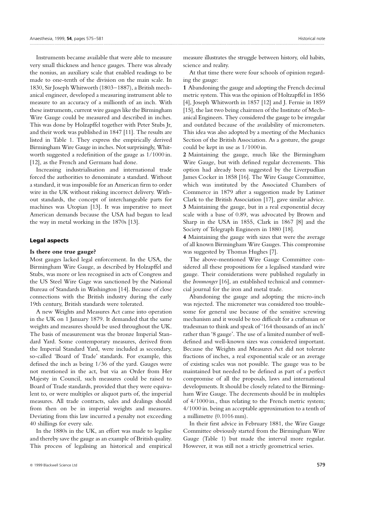Instruments became available that were able to measure very small thickness and hence gauges. There was already the nonius, an auxiliary scale that enabled readings to be made to one-tenth of the division on the main scale. In 1830, Sir Joseph Whitworth (1803–1887), a British mechanical engineer, developed a measuring instrument able to measure to an accuracy of a millionth of an inch. With these instruments, current wire gauges like the Birmingham Wire Gauge could be measured and described in inches. This was done by Holzapffel together with Peter Stubs Jr, and their work was published in 1847 [11]. The results are listed in Table 1. They express the empirically derived Birmingham Wire Gauge in inches. Not surprisingly, Whitworth suggested a redefinition of the gauge as 1/1000 in. [12], as the French and Germans had done.

Increasing industrialisation and international trade forced the authorities to denominate a standard. Without a standard, it was impossible for an American firm to order wire in the UK without risking incorrect delivery. Without standards, the concept of interchangeable parts for machines was Utopian [13]. It was imperative to meet American demands because the USA had begun to lead the way in metal working in the 1870s [13].

#### **Legal aspects**

### **Is there one true gauge?**

Most gauges lacked legal enforcement. In the USA, the Birmingham Wire Gauge, as described by Holzapffel and Stubs, was more or less recognised in acts of Congress and the US Steel Wire Gage was sanctioned by the National Bureau of Standards in Washington [14]. Because of close connections with the British industry during the early 19th century, British standards were tolerated.

A new Weights and Measures Act came into operation in the UK on 1 January 1879. It demanded that the same weights and measures should be used throughout the UK. The basis of measurement was the bronze Imperial Standard Yard. Some contemporary measures, derived from the Imperial Standard Yard, were included as secondary, so-called 'Board of Trade' standards. For example, this defined the inch as being 1/36 of the yard. Gauges were not mentioned in the act, but via an Order from Her Majesty in Council, such measures could be raised to Board of Trade standards, provided that they were equivalent to, or were multiples or aliquot parts of, the imperial measures. All trade contracts, sales and dealings should from then on be in imperial weights and measures. Deviating from this law incurred a penalty not exceeding 40 shillings for every sale.

In the 1880s in the UK, an effort was made to legalise and thereby save the gauge as an example of British quality. This process of legalising an historical and empirical measure illustrates the struggle between history, old habits, science and reality.

At that time there were four schools of opinion regarding the gauge:

**1** Abandoning the gauge and adopting the French decimal metric system. This was the opinion of Holtzapffel in 1856 [4], Joseph Whitworth in 1857 [12] and J. Fernie in 1859 [15], the last two being chairmen of the Institute of Mechanical Engineers. They considered the gauge to be irregular and outdated because of the availability of micrometers. This idea was also adopted by a meeting of the Mechanics Section of the British Association. As a gesture, the gauge could be kept in use as 1/1000 in.

**2** Maintaining the gauge, much like the Birmingham Wire Gauge, but with defined regular decrements. This option had already been suggested by the Liverpudlian James Cocker in 1858 [16]. The Wire Gauge Committee, which was instituted by the Associated Chambers of Commerce in 1879 after a suggestion made by Latimer Clark to the British Association [17], gave similar advice. **3** Maintaining the gauge, but in a real exponential decay scale with a base of 0.89, was advocated by Brown and Sharp in the USA in 1855, Clark in 1867 [8] and the Society of Telegraph Engineers in 1880 [18].

**4** Maintaining the gauge with sizes that were the average of all known Birmingham Wire Gauges. This compromise was suggested by Thomas Hughes [7].

The above-mentioned Wire Gauge Committee considered all these propositions for a legalised standard wire gauge. Their considerations were published regularly in the *Ironmonger* [16], an established technical and commercial journal for the iron and metal trade.

Abandoning the gauge and adopting the micro-inch was rejected. The micrometer was considered too troublesome for general use because of the sensitive screwing mechanism and it would be too difficult for a craftsman or tradesman to think and speak of '164 thousands of an inch' rather than '8 gauge'. The use of a limited number of welldefined and well-known sizes was considered important. Because the Weights and Measures Act did not tolerate fractions of inches, a real exponential scale or an average of existing scales was not possible. The gauge was to be maintained but needed to be defined as part of a perfect compromise of all the proposals, laws and international developments. It should be closely related to the Birmingham Wire Gauge. The decrements should be in multiples of 4/1000 in., thus relating to the French metric system; 4/1000 in. being an acceptable approximation to a tenth of a millimetre (0.1016 mm).

In their first advice in February 1881, the Wire Gauge Committee obviously started from the Birmingham Wire Gauge (Table 1) but made the interval more regular. However, it was still not a strictly geometrical series.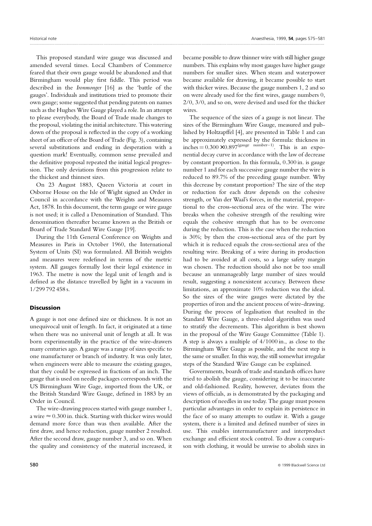This proposed standard wire gauge was discussed and amended several times. Local Chambers of Commerce feared that their own gauge would be abandoned and that Birmingham would play first fiddle. This period was described in the *Ironmonger* [16] as the 'battle of the gauges'. Individuals and institutions tried to promote their own gauge; some suggested that pending patents on names such as the Hughes Wire Gauge played a role. In an attempt to please everybody, the Board of Trade made changes to the proposal, violating the initial architecture. This watering down of the proposal is reflected in the copy of a working sheet of an officer of the Board of Trade (Fig. 3), containing several substitutions and ending in desperation with a question mark! Eventually, common sense prevailed and the definitive proposal repeated the initial logical progression. The only deviations from this progression relate to the thickest and thinnest sizes.

On 23 August 1883, Queen Victoria at court in Osborne House on the Isle of Wight signed an Order in Council in accordance with the Weights and Measures Act, 1878. In this document, the term gauge or wire gauge is not used; it is called a Denomination of Standard. This denomination thereafter became known as the British or Board of Trade Standard Wire Gauge [19].

During the 11th General Conference on Weights and Measures in Paris in October 1960, the International System of Units (SI) was formulated. All British weights and measures were redefined in terms of the metric system. All gauges formally lost their legal existence in 1963. The metre is now the legal unit of length and is defined as the distance travelled by light in a vacuum in 1/299 792 458 s.

#### **Discussion**

A gauge is not one defined size or thickness. It is not an unequivocal unit of length. In fact, it originated at a time when there was no universal unit of length at all. It was born experimentally in the practice of the wire-drawers many centuries ago. A gauge was a range of sizes specific to one manufacturer or branch of industry. It was only later, when engineers were able to measure the existing gauges, that they could be expressed in fractions of an inch. The gauge that is used on needle packages corresponds with the US Birmingham Wire Gage, imported from the UK, or the British Standard Wire Gauge, defined in 1883 by an Order in Council.

The wire-drawing process started with gauge number 1, a wire  $\approx 0.300$  in. thick. Starting with thicker wires would demand more force than was then available. After the first draw, and hence reduction, gauge number 2 resulted. After the second draw, gauge number 3, and so on. When the quality and consistency of the material increased, it became possible to draw thinner wire with still higher gauge numbers. This explains why most gauges have higher gauge numbers for smaller sizes. When steam and waterpower became available for drawing, it became possible to start with thicker wires. Because the gauge numbers 1, 2 and so on were already used for the first wires, gauge numbers 0, 2/0, 3/0, and so on, were devised and used for the thicker wires.

The sequence of the sizes of a gauge is not linear. The sizes of the Birmingham Wire Gauge, measured and published by Holtzapffel [4], are presented in Table 1 and can be approximately expressed by the formula: thickness in  $inches = 0.300 \times 0.897$ <sup>(gauge number-1)</sup>. This is an exponential decay curve in accordance with the law of decrease by constant proportion. In this formula, 0.300 in. is gauge number 1 and for each successive gauge number the wire is reduced to 89.7% of the preceding gauge number. Why this decrease by constant proportion? The size of the step or reduction for each draw depends on the cohesive strength, or Van der Waal's forces, in the material, proportional to the cross-sectional area of the wire. The wire breaks when the cohesive strength of the resulting wire equals the cohesive strength that has to be overcome during the reduction. This is the case when the reduction is 30%; by then the cross-sectional area of the part by which it is reduced equals the cross-sectional area of the resulting wire. Breaking of a wire during its production had to be avoided at all costs, so a large safety margin was chosen. The reduction should also not be too small because an unmanageably large number of sizes would result, suggesting a nonexistent accuracy. Between these limitations, an approximate 10% reduction was the ideal. So the sizes of the wire gauges were dictated by the properties of iron and the ancient process of wire-drawing. During the process of legalisation that resulted in the Standard Wire Gauge, a three-ruled algorithm was used to stratify the decrements. This algorithm is best shown in the proposal of the Wire Gauge Committee (Table 1). A step is always a multiple of 4/1000 in., as close to the Birmingham Wire Gauge as possible, and the next step is the same or smaller. In this way, the still somewhat irregular steps of the Standard Wire Gauge can be explained.

Governments, boards of trade and standards offices have tried to abolish the gauge, considering it to be inaccurate and old-fashioned. Reality, however, deviates from the views of officials, as is demonstrated by the packaging and description of needles in use today. The gauge must possess particular advantages in order to explain its persistence in the face of so many attempts to outlaw it. With a gauge system, there is a limited and defined number of sizes in use. This enables intermanufacturer and interproduct exchange and efficient stock control. To draw a comparison with clothing, it would be unwise to abolish sizes in